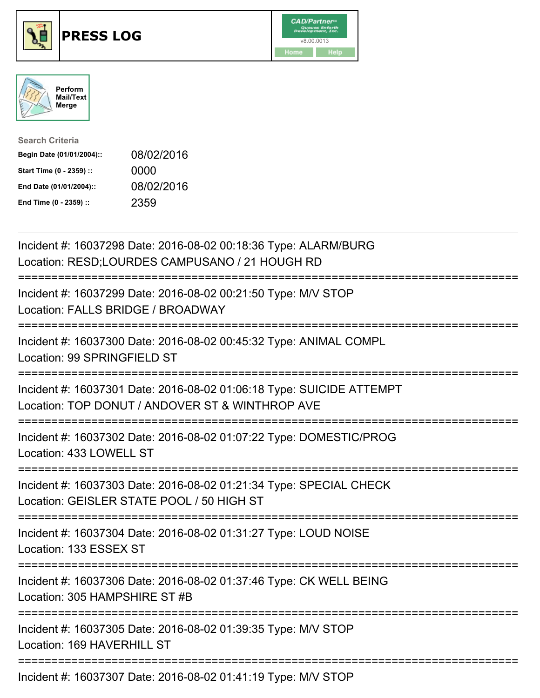





| <b>Search Criteria</b>    |            |
|---------------------------|------------|
| Begin Date (01/01/2004):: | 08/02/2016 |
| Start Time (0 - 2359) ::  | 0000       |
| End Date (01/01/2004)::   | 08/02/2016 |
| End Time (0 - 2359) ::    | 2359       |

| Incident #: 16037298 Date: 2016-08-02 00:18:36 Type: ALARM/BURG<br>Location: RESD;LOURDES CAMPUSANO / 21 HOUGH RD       |
|-------------------------------------------------------------------------------------------------------------------------|
| Incident #: 16037299 Date: 2016-08-02 00:21:50 Type: M/V STOP<br>Location: FALLS BRIDGE / BROADWAY                      |
| Incident #: 16037300 Date: 2016-08-02 00:45:32 Type: ANIMAL COMPL<br>Location: 99 SPRINGFIELD ST                        |
| Incident #: 16037301 Date: 2016-08-02 01:06:18 Type: SUICIDE ATTEMPT<br>Location: TOP DONUT / ANDOVER ST & WINTHROP AVE |
| Incident #: 16037302 Date: 2016-08-02 01:07:22 Type: DOMESTIC/PROG<br>Location: 433 LOWELL ST                           |
| Incident #: 16037303 Date: 2016-08-02 01:21:34 Type: SPECIAL CHECK<br>Location: GEISLER STATE POOL / 50 HIGH ST         |
| Incident #: 16037304 Date: 2016-08-02 01:31:27 Type: LOUD NOISE<br>Location: 133 ESSEX ST                               |
| Incident #: 16037306 Date: 2016-08-02 01:37:46 Type: CK WELL BEING<br>Location: 305 HAMPSHIRE ST #B                     |
| Incident #: 16037305 Date: 2016-08-02 01:39:35 Type: M/V STOP<br>Location: 169 HAVERHILL ST                             |
| Incident #: 16037307 Date: 2016-08-02 01:41:19 Type: M/V STOP                                                           |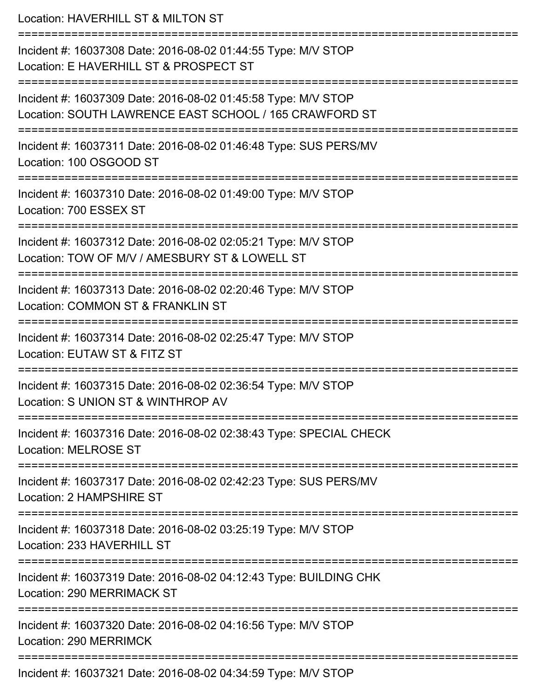Location: HAVERHILL ST & MILTON ST =========================================================================== Incident #: 16037308 Date: 2016-08-02 01:44:55 Type: M/V STOP Location: E HAVERHILL ST & PROSPECT ST =========================================================================== Incident #: 16037309 Date: 2016-08-02 01:45:58 Type: M/V STOP Location: SOUTH LAWRENCE EAST SCHOOL / 165 CRAWFORD ST =========================================================================== Incident #: 16037311 Date: 2016-08-02 01:46:48 Type: SUS PERS/MV Location: 100 OSGOOD ST =========================================================================== Incident #: 16037310 Date: 2016-08-02 01:49:00 Type: M/V STOP Location: 700 ESSEX ST =========================================================================== Incident #: 16037312 Date: 2016-08-02 02:05:21 Type: M/V STOP Location: TOW OF M/V / AMESBURY ST & LOWELL ST =========================================================================== Incident #: 16037313 Date: 2016-08-02 02:20:46 Type: M/V STOP Location: COMMON ST & FRANKLIN ST =========================================================================== Incident #: 16037314 Date: 2016-08-02 02:25:47 Type: M/V STOP Location: EUTAW ST & FITZ ST =========================================================================== Incident #: 16037315 Date: 2016-08-02 02:36:54 Type: M/V STOP Location: S UNION ST & WINTHROP AV =========================================================================== Incident #: 16037316 Date: 2016-08-02 02:38:43 Type: SPECIAL CHECK Location: MELROSE ST =========================================================================== Incident #: 16037317 Date: 2016-08-02 02:42:23 Type: SUS PERS/MV Location: 2 HAMPSHIRE ST =========================================================================== Incident #: 16037318 Date: 2016-08-02 03:25:19 Type: M/V STOP Location: 233 HAVERHILL ST =========================================================================== Incident #: 16037319 Date: 2016-08-02 04:12:43 Type: BUILDING CHK Location: 290 MERRIMACK ST =========================================================================== Incident #: 16037320 Date: 2016-08-02 04:16:56 Type: M/V STOP Location: 290 MERRIMCK =========================================================================== Incident #: 16037321 Date: 2016-08-02 04:34:59 Type: M/V STOP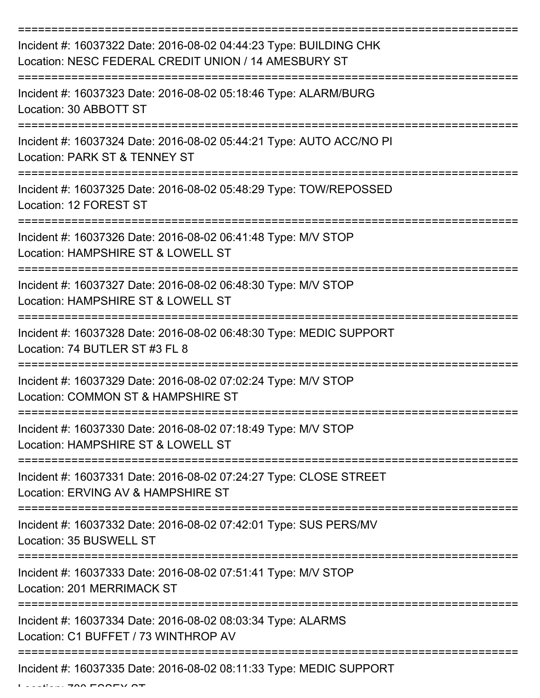| Incident #: 16037322 Date: 2016-08-02 04:44:23 Type: BUILDING CHK<br>Location: NESC FEDERAL CREDIT UNION / 14 AMESBURY ST |
|---------------------------------------------------------------------------------------------------------------------------|
| Incident #: 16037323 Date: 2016-08-02 05:18:46 Type: ALARM/BURG<br>Location: 30 ABBOTT ST                                 |
| Incident #: 16037324 Date: 2016-08-02 05:44:21 Type: AUTO ACC/NO PI<br>Location: PARK ST & TENNEY ST                      |
| Incident #: 16037325 Date: 2016-08-02 05:48:29 Type: TOW/REPOSSED<br>Location: 12 FOREST ST                               |
| Incident #: 16037326 Date: 2016-08-02 06:41:48 Type: M/V STOP<br>Location: HAMPSHIRE ST & LOWELL ST                       |
| Incident #: 16037327 Date: 2016-08-02 06:48:30 Type: M/V STOP<br>Location: HAMPSHIRE ST & LOWELL ST                       |
| Incident #: 16037328 Date: 2016-08-02 06:48:30 Type: MEDIC SUPPORT<br>Location: 74 BUTLER ST #3 FL 8                      |
| Incident #: 16037329 Date: 2016-08-02 07:02:24 Type: M/V STOP<br>Location: COMMON ST & HAMPSHIRE ST                       |
| Incident #: 16037330 Date: 2016-08-02 07:18:49 Type: M/V STOP<br>Location: HAMPSHIRE ST & LOWELL ST                       |
| Incident #: 16037331 Date: 2016-08-02 07:24:27 Type: CLOSE STREET<br>Location: ERVING AV & HAMPSHIRE ST                   |
| Incident #: 16037332 Date: 2016-08-02 07:42:01 Type: SUS PERS/MV<br>Location: 35 BUSWELL ST                               |
| Incident #: 16037333 Date: 2016-08-02 07:51:41 Type: M/V STOP<br><b>Location: 201 MERRIMACK ST</b>                        |
| Incident #: 16037334 Date: 2016-08-02 08:03:34 Type: ALARMS<br>Location: C1 BUFFET / 73 WINTHROP AV                       |
| Incident #: 16037335 Date: 2016-08-02 08:11:33 Type: MEDIC SUPPORT                                                        |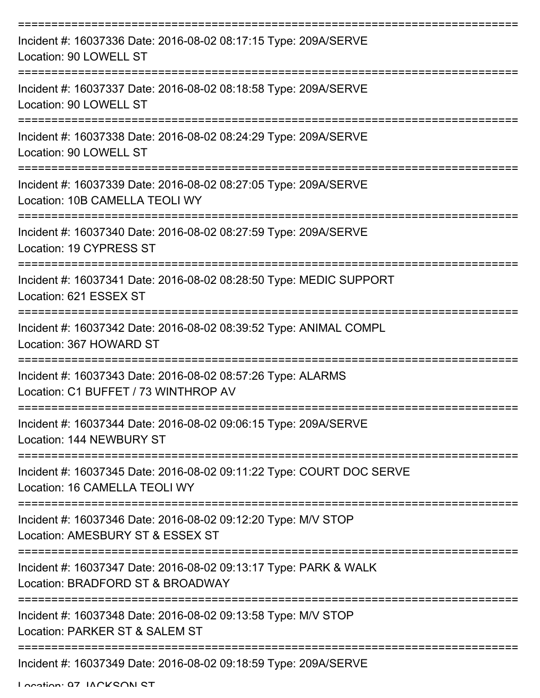| Incident #: 16037336 Date: 2016-08-02 08:17:15 Type: 209A/SERVE<br>Location: 90 LOWELL ST             |
|-------------------------------------------------------------------------------------------------------|
| Incident #: 16037337 Date: 2016-08-02 08:18:58 Type: 209A/SERVE<br>Location: 90 LOWELL ST             |
| Incident #: 16037338 Date: 2016-08-02 08:24:29 Type: 209A/SERVE<br>Location: 90 LOWELL ST             |
| Incident #: 16037339 Date: 2016-08-02 08:27:05 Type: 209A/SERVE<br>Location: 10B CAMELLA TEOLI WY     |
| Incident #: 16037340 Date: 2016-08-02 08:27:59 Type: 209A/SERVE<br>Location: 19 CYPRESS ST            |
| Incident #: 16037341 Date: 2016-08-02 08:28:50 Type: MEDIC SUPPORT<br>Location: 621 ESSEX ST          |
| Incident #: 16037342 Date: 2016-08-02 08:39:52 Type: ANIMAL COMPL<br>Location: 367 HOWARD ST          |
| Incident #: 16037343 Date: 2016-08-02 08:57:26 Type: ALARMS<br>Location: C1 BUFFET / 73 WINTHROP AV   |
| Incident #: 16037344 Date: 2016-08-02 09:06:15 Type: 209A/SERVE<br>Location: 144 NEWBURY ST           |
| Incident #: 16037345 Date: 2016-08-02 09:11:22 Type: COURT DOC SERVE<br>Location: 16 CAMELLA TEOLI WY |
| Incident #: 16037346 Date: 2016-08-02 09:12:20 Type: M/V STOP<br>Location: AMESBURY ST & ESSEX ST     |
| Incident #: 16037347 Date: 2016-08-02 09:13:17 Type: PARK & WALK<br>Location: BRADFORD ST & BROADWAY  |
| Incident #: 16037348 Date: 2016-08-02 09:13:58 Type: M/V STOP<br>Location: PARKER ST & SALEM ST       |
| Incident #: 16037349 Date: 2016-08-02 09:18:59 Type: 209A/SERVE                                       |

Location: 07 IACKSON ST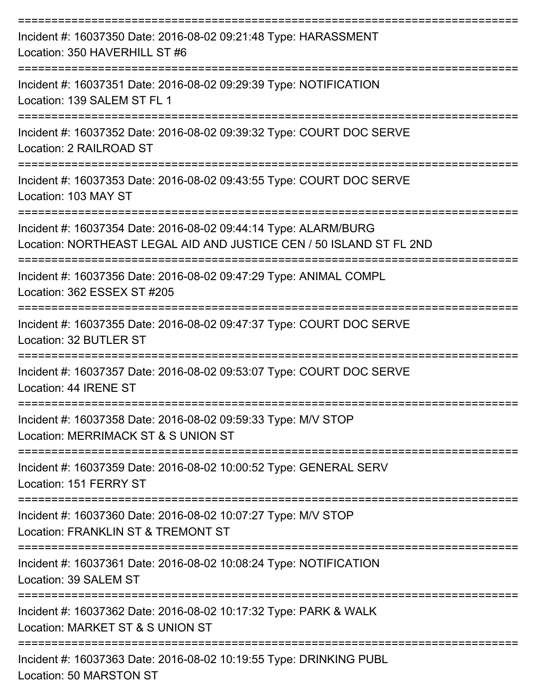| Incident #: 16037350 Date: 2016-08-02 09:21:48 Type: HARASSMENT<br>Location: 350 HAVERHILL ST #6                                       |
|----------------------------------------------------------------------------------------------------------------------------------------|
| Incident #: 16037351 Date: 2016-08-02 09:29:39 Type: NOTIFICATION<br>Location: 139 SALEM ST FL 1                                       |
| Incident #: 16037352 Date: 2016-08-02 09:39:32 Type: COURT DOC SERVE<br>Location: 2 RAILROAD ST                                        |
| Incident #: 16037353 Date: 2016-08-02 09:43:55 Type: COURT DOC SERVE<br>Location: 103 MAY ST<br>-------------------                    |
| Incident #: 16037354 Date: 2016-08-02 09:44:14 Type: ALARM/BURG<br>Location: NORTHEAST LEGAL AID AND JUSTICE CEN / 50 ISLAND ST FL 2ND |
| Incident #: 16037356 Date: 2016-08-02 09:47:29 Type: ANIMAL COMPL<br>Location: 362 ESSEX ST #205                                       |
| :===================================<br>Incident #: 16037355 Date: 2016-08-02 09:47:37 Type: COURT DOC SERVE<br>Location: 32 BUTLER ST |
| Incident #: 16037357 Date: 2016-08-02 09:53:07 Type: COURT DOC SERVE<br>Location: 44 IRENE ST                                          |
| Incident #: 16037358 Date: 2016-08-02 09:59:33 Type: M/V STOP<br>Location: MERRIMACK ST & S UNION ST                                   |
| Incident #: 16037359 Date: 2016-08-02 10:00:52 Type: GENERAL SERV<br>Location: 151 FERRY ST                                            |
| Incident #: 16037360 Date: 2016-08-02 10:07:27 Type: M/V STOP<br>Location: FRANKLIN ST & TREMONT ST                                    |
| Incident #: 16037361 Date: 2016-08-02 10:08:24 Type: NOTIFICATION<br>Location: 39 SALEM ST                                             |
| Incident #: 16037362 Date: 2016-08-02 10:17:32 Type: PARK & WALK<br>Location: MARKET ST & S UNION ST                                   |
| Incident #: 16037363 Date: 2016-08-02 10:19:55 Type: DRINKING PUBL<br>Location: 50 MARSTON ST                                          |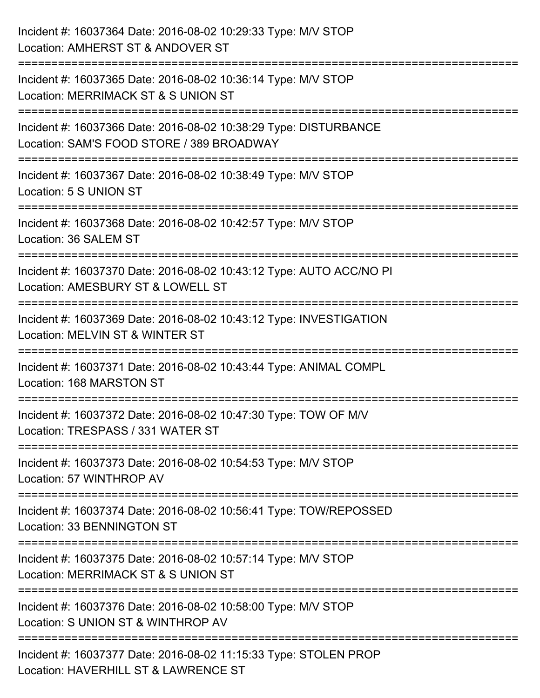| Incident #: 16037364 Date: 2016-08-02 10:29:33 Type: M/V STOP<br>Location: AMHERST ST & ANDOVER ST                            |
|-------------------------------------------------------------------------------------------------------------------------------|
| Incident #: 16037365 Date: 2016-08-02 10:36:14 Type: M/V STOP<br>Location: MERRIMACK ST & S UNION ST                          |
| Incident #: 16037366 Date: 2016-08-02 10:38:29 Type: DISTURBANCE<br>Location: SAM'S FOOD STORE / 389 BROADWAY                 |
| ==================================<br>Incident #: 16037367 Date: 2016-08-02 10:38:49 Type: M/V STOP<br>Location: 5 S UNION ST |
| Incident #: 16037368 Date: 2016-08-02 10:42:57 Type: M/V STOP<br>Location: 36 SALEM ST                                        |
| Incident #: 16037370 Date: 2016-08-02 10:43:12 Type: AUTO ACC/NO PI<br>Location: AMESBURY ST & LOWELL ST                      |
| Incident #: 16037369 Date: 2016-08-02 10:43:12 Type: INVESTIGATION<br>Location: MELVIN ST & WINTER ST                         |
| Incident #: 16037371 Date: 2016-08-02 10:43:44 Type: ANIMAL COMPL<br>Location: 168 MARSTON ST                                 |
| Incident #: 16037372 Date: 2016-08-02 10:47:30 Type: TOW OF M/V<br>Location: TRESPASS / 331 WATER ST                          |
| Incident #: 16037373 Date: 2016-08-02 10:54:53 Type: M/V STOP<br>Location: 57 WINTHROP AV                                     |
| Incident #: 16037374 Date: 2016-08-02 10:56:41 Type: TOW/REPOSSED<br>Location: 33 BENNINGTON ST                               |
| Incident #: 16037375 Date: 2016-08-02 10:57:14 Type: M/V STOP<br>Location: MERRIMACK ST & S UNION ST                          |
| Incident #: 16037376 Date: 2016-08-02 10:58:00 Type: M/V STOP<br>Location: S UNION ST & WINTHROP AV                           |
| Incident #: 16037377 Date: 2016-08-02 11:15:33 Type: STOLEN PROP<br>Location: HAVERHILL ST & LAWRENCE ST                      |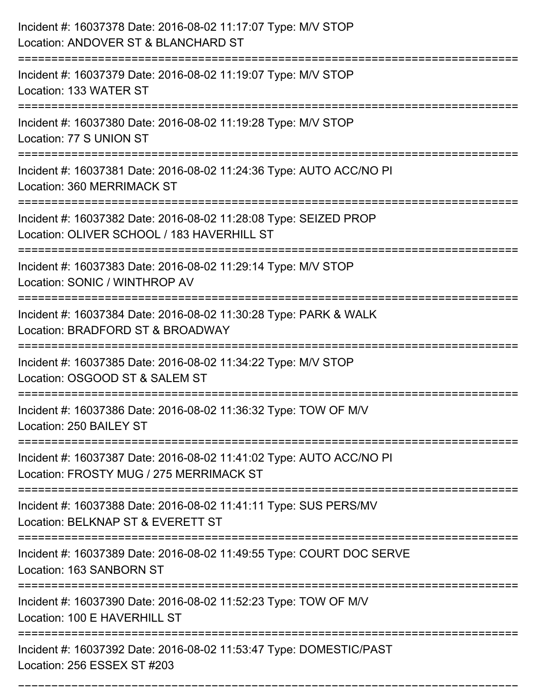| Incident #: 16037378 Date: 2016-08-02 11:17:07 Type: M/V STOP<br>Location: ANDOVER ST & BLANCHARD ST                                                 |
|------------------------------------------------------------------------------------------------------------------------------------------------------|
| Incident #: 16037379 Date: 2016-08-02 11:19:07 Type: M/V STOP<br>Location: 133 WATER ST                                                              |
| Incident #: 16037380 Date: 2016-08-02 11:19:28 Type: M/V STOP<br>Location: 77 S UNION ST                                                             |
| Incident #: 16037381 Date: 2016-08-02 11:24:36 Type: AUTO ACC/NO PI<br>Location: 360 MERRIMACK ST                                                    |
| Incident #: 16037382 Date: 2016-08-02 11:28:08 Type: SEIZED PROP<br>Location: OLIVER SCHOOL / 183 HAVERHILL ST                                       |
| Incident #: 16037383 Date: 2016-08-02 11:29:14 Type: M/V STOP<br>Location: SONIC / WINTHROP AV                                                       |
| Incident #: 16037384 Date: 2016-08-02 11:30:28 Type: PARK & WALK<br>Location: BRADFORD ST & BROADWAY                                                 |
| Incident #: 16037385 Date: 2016-08-02 11:34:22 Type: M/V STOP<br>Location: OSGOOD ST & SALEM ST                                                      |
| Incident #: 16037386 Date: 2016-08-02 11:36:32 Type: TOW OF M/V<br>Location: 250 BAILEY ST                                                           |
| Incident #: 16037387 Date: 2016-08-02 11:41:02 Type: AUTO ACC/NO PI<br>Location: FROSTY MUG / 275 MERRIMACK ST<br>================================== |
| Incident #: 16037388 Date: 2016-08-02 11:41:11 Type: SUS PERS/MV<br>Location: BELKNAP ST & EVERETT ST                                                |
| Incident #: 16037389 Date: 2016-08-02 11:49:55 Type: COURT DOC SERVE<br>Location: 163 SANBORN ST                                                     |
| Incident #: 16037390 Date: 2016-08-02 11:52:23 Type: TOW OF M/V<br>Location: 100 E HAVERHILL ST                                                      |
| Incident #: 16037392 Date: 2016-08-02 11:53:47 Type: DOMESTIC/PAST<br>Location: 256 ESSEX ST #203                                                    |

===========================================================================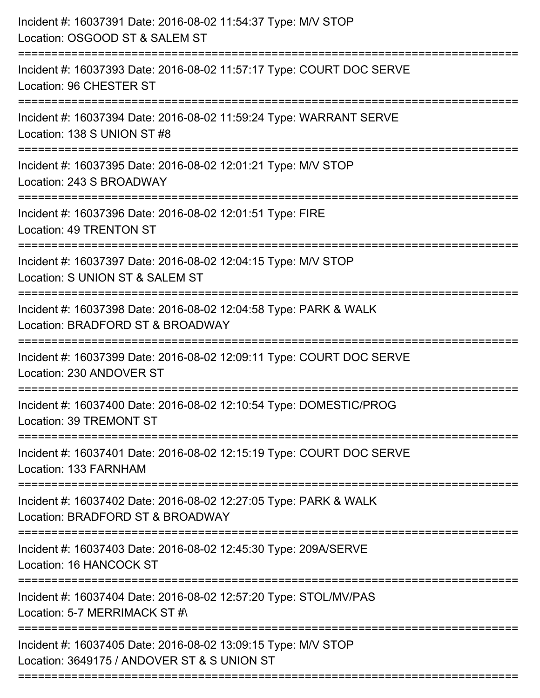| Incident #: 16037391 Date: 2016-08-02 11:54:37 Type: M/V STOP<br>Location: OSGOOD ST & SALEM ST                                         |
|-----------------------------------------------------------------------------------------------------------------------------------------|
| Incident #: 16037393 Date: 2016-08-02 11:57:17 Type: COURT DOC SERVE<br>Location: 96 CHESTER ST                                         |
| Incident #: 16037394 Date: 2016-08-02 11:59:24 Type: WARRANT SERVE<br>Location: 138 S UNION ST #8<br>================================== |
| Incident #: 16037395 Date: 2016-08-02 12:01:21 Type: M/V STOP<br>Location: 243 S BROADWAY                                               |
| Incident #: 16037396 Date: 2016-08-02 12:01:51 Type: FIRE<br><b>Location: 49 TRENTON ST</b><br>============================             |
| Incident #: 16037397 Date: 2016-08-02 12:04:15 Type: M/V STOP<br>Location: S UNION ST & SALEM ST                                        |
| Incident #: 16037398 Date: 2016-08-02 12:04:58 Type: PARK & WALK<br>Location: BRADFORD ST & BROADWAY                                    |
| Incident #: 16037399 Date: 2016-08-02 12:09:11 Type: COURT DOC SERVE<br>Location: 230 ANDOVER ST                                        |
| Incident #: 16037400 Date: 2016-08-02 12:10:54 Type: DOMESTIC/PROG<br>Location: 39 TREMONT ST                                           |
| Incident #: 16037401 Date: 2016-08-02 12:15:19 Type: COURT DOC SERVE<br>Location: 133 FARNHAM                                           |
| Incident #: 16037402 Date: 2016-08-02 12:27:05 Type: PARK & WALK<br>Location: BRADFORD ST & BROADWAY                                    |
| Incident #: 16037403 Date: 2016-08-02 12:45:30 Type: 209A/SERVE<br>Location: 16 HANCOCK ST                                              |
| Incident #: 16037404 Date: 2016-08-02 12:57:20 Type: STOL/MV/PAS<br>Location: 5-7 MERRIMACK ST #\                                       |
| Incident #: 16037405 Date: 2016-08-02 13:09:15 Type: M/V STOP<br>Location: 3649175 / ANDOVER ST & S UNION ST                            |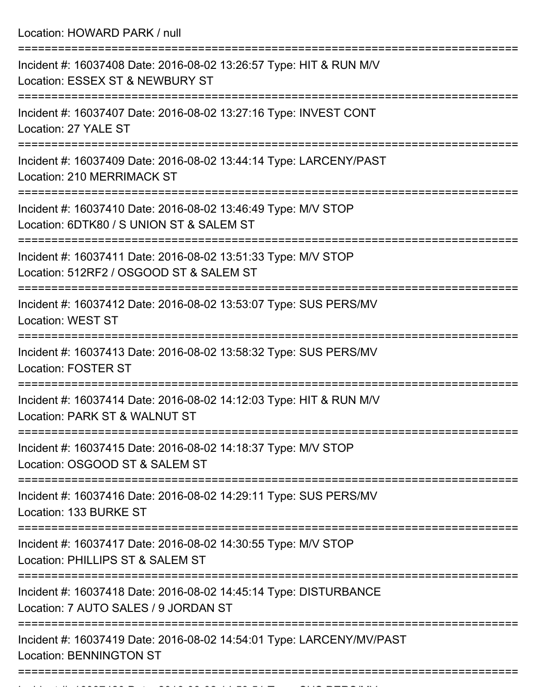Location: HOWARD PARK / null

| Incident #: 16037408 Date: 2016-08-02 13:26:57 Type: HIT & RUN M/V<br>Location: ESSEX ST & NEWBURY ST                             |
|-----------------------------------------------------------------------------------------------------------------------------------|
| Incident #: 16037407 Date: 2016-08-02 13:27:16 Type: INVEST CONT<br>Location: 27 YALE ST                                          |
| Incident #: 16037409 Date: 2016-08-02 13:44:14 Type: LARCENY/PAST<br><b>Location: 210 MERRIMACK ST</b>                            |
| Incident #: 16037410 Date: 2016-08-02 13:46:49 Type: M/V STOP<br>Location: 6DTK80 / S UNION ST & SALEM ST                         |
| Incident #: 16037411 Date: 2016-08-02 13:51:33 Type: M/V STOP<br>Location: 512RF2 / OSGOOD ST & SALEM ST                          |
| =================================<br>Incident #: 16037412 Date: 2016-08-02 13:53:07 Type: SUS PERS/MV<br><b>Location: WEST ST</b> |
| Incident #: 16037413 Date: 2016-08-02 13:58:32 Type: SUS PERS/MV<br><b>Location: FOSTER ST</b>                                    |
| Incident #: 16037414 Date: 2016-08-02 14:12:03 Type: HIT & RUN M/V<br>Location: PARK ST & WALNUT ST                               |
| Incident #: 16037415 Date: 2016-08-02 14:18:37 Type: M/V STOP<br>Location: OSGOOD ST & SALEM ST                                   |
| ;=============<br>Incident #: 16037416 Date: 2016-08-02 14:29:11 Type: SUS PERS/MV<br>Location: 133 BURKE ST                      |
| Incident #: 16037417 Date: 2016-08-02 14:30:55 Type: M/V STOP<br>Location: PHILLIPS ST & SALEM ST                                 |
| Incident #: 16037418 Date: 2016-08-02 14:45:14 Type: DISTURBANCE<br>Location: 7 AUTO SALES / 9 JORDAN ST                          |
| Incident #: 16037419 Date: 2016-08-02 14:54:01 Type: LARCENY/MV/PAST<br><b>Location: BENNINGTON ST</b>                            |
|                                                                                                                                   |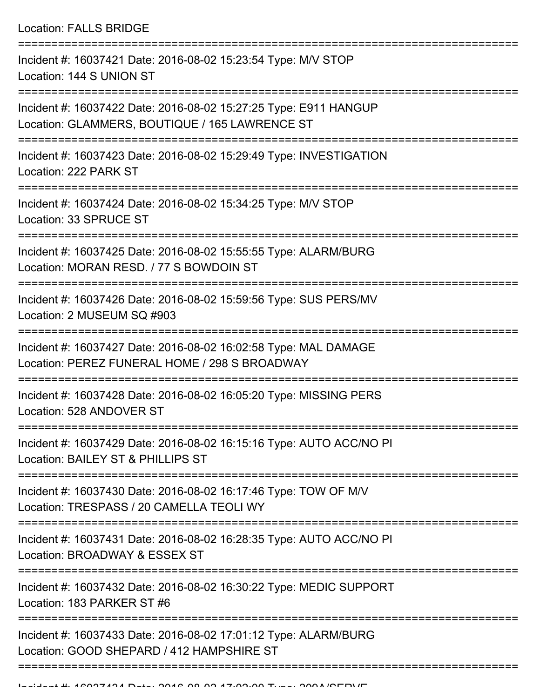Location: FALLS BRIDGE

| Incident #: 16037421 Date: 2016-08-02 15:23:54 Type: M/V STOP<br>Location: 144 S UNION ST                          |
|--------------------------------------------------------------------------------------------------------------------|
| Incident #: 16037422 Date: 2016-08-02 15:27:25 Type: E911 HANGUP<br>Location: GLAMMERS, BOUTIQUE / 165 LAWRENCE ST |
| Incident #: 16037423 Date: 2016-08-02 15:29:49 Type: INVESTIGATION<br>Location: 222 PARK ST                        |
| Incident #: 16037424 Date: 2016-08-02 15:34:25 Type: M/V STOP<br>Location: 33 SPRUCE ST                            |
| Incident #: 16037425 Date: 2016-08-02 15:55:55 Type: ALARM/BURG<br>Location: MORAN RESD, / 77 S BOWDOIN ST         |
| Incident #: 16037426 Date: 2016-08-02 15:59:56 Type: SUS PERS/MV<br>Location: 2 MUSEUM SQ #903                     |
| Incident #: 16037427 Date: 2016-08-02 16:02:58 Type: MAL DAMAGE<br>Location: PEREZ FUNERAL HOME / 298 S BROADWAY   |
| Incident #: 16037428 Date: 2016-08-02 16:05:20 Type: MISSING PERS<br>Location: 528 ANDOVER ST                      |
| Incident #: 16037429 Date: 2016-08-02 16:15:16 Type: AUTO ACC/NO PI<br>Location: BAILEY ST & PHILLIPS ST           |
| Incident #: 16037430 Date: 2016-08-02 16:17:46 Type: TOW OF M/V<br>Location: TRESPASS / 20 CAMELLA TEOLI WY        |
| Incident #: 16037431 Date: 2016-08-02 16:28:35 Type: AUTO ACC/NO PI<br>Location: BROADWAY & ESSEX ST               |
| Incident #: 16037432 Date: 2016-08-02 16:30:22 Type: MEDIC SUPPORT<br>Location: 183 PARKER ST #6                   |
| Incident #: 16037433 Date: 2016-08-02 17:01:12 Type: ALARM/BURG<br>Location: GOOD SHEPARD / 412 HAMPSHIRE ST       |
|                                                                                                                    |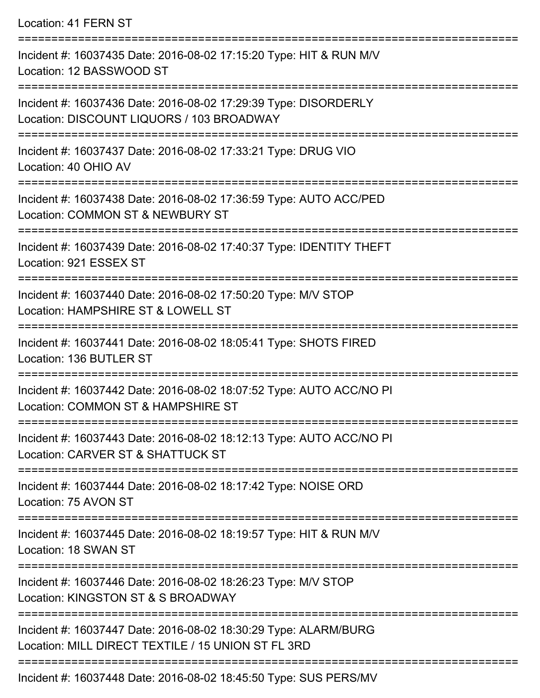Location: 41 FERN ST =========================================================================== Incident #: 16037435 Date: 2016-08-02 17:15:20 Type: HIT & RUN M/V Location: 12 BASSWOOD ST =========================================================================== Incident #: 16037436 Date: 2016-08-02 17:29:39 Type: DISORDERLY

Location: DISCOUNT LIQUORS / 103 BROADWAY

===========================================================================

Incident #: 16037437 Date: 2016-08-02 17:33:21 Type: DRUG VIO

Location: 40 OHIO AV

```
===========================================================================
```
Incident #: 16037438 Date: 2016-08-02 17:36:59 Type: AUTO ACC/PED Location: COMMON ST & NEWBURY ST

===========================================================================

Incident #: 16037439 Date: 2016-08-02 17:40:37 Type: IDENTITY THEFT

Location: 921 ESSEX ST

===========================================================================

Incident #: 16037440 Date: 2016-08-02 17:50:20 Type: M/V STOP Location: HAMPSHIRE ST & LOWELL ST

===========================================================================

Incident #: 16037441 Date: 2016-08-02 18:05:41 Type: SHOTS FIRED

Location: 136 BUTLER ST

===========================================================================

Incident #: 16037442 Date: 2016-08-02 18:07:52 Type: AUTO ACC/NO PI Location: COMMON ST & HAMPSHIRE ST

===========================================================================

Incident #: 16037443 Date: 2016-08-02 18:12:13 Type: AUTO ACC/NO PI Location: CARVER ST & SHATTUCK ST

===========================================================================

Incident #: 16037444 Date: 2016-08-02 18:17:42 Type: NOISE ORD

Location: 75 AVON ST

===========================================================================

Incident #: 16037445 Date: 2016-08-02 18:19:57 Type: HIT & RUN M/V

Location: 18 SWAN ST

===========================================================================

Incident #: 16037446 Date: 2016-08-02 18:26:23 Type: M/V STOP

Location: KINGSTON ST & S BROADWAY

===========================================================================

Incident #: 16037447 Date: 2016-08-02 18:30:29 Type: ALARM/BURG Location: MILL DIRECT TEXTILE / 15 UNION ST FL 3RD

===========================================================================

Incident #: 16037448 Date: 2016-08-02 18:45:50 Type: SUS PERS/MV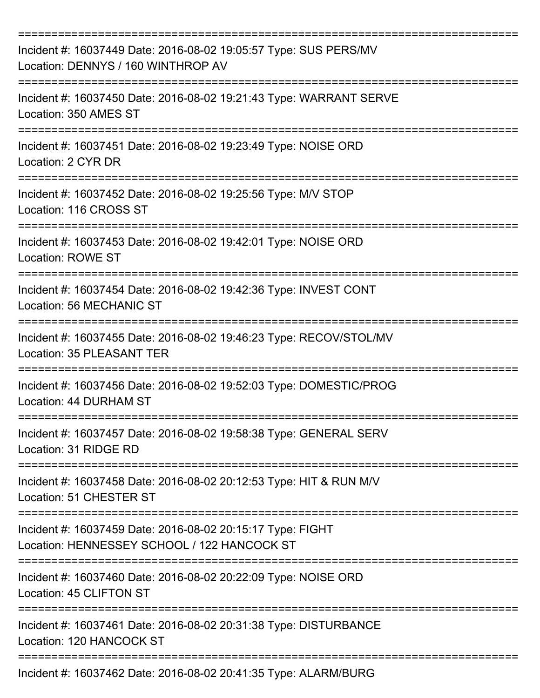| Incident #: 16037449 Date: 2016-08-02 19:05:57 Type: SUS PERS/MV<br>Location: DENNYS / 160 WINTHROP AV                |
|-----------------------------------------------------------------------------------------------------------------------|
| Incident #: 16037450 Date: 2016-08-02 19:21:43 Type: WARRANT SERVE<br>Location: 350 AMES ST                           |
| Incident #: 16037451 Date: 2016-08-02 19:23:49 Type: NOISE ORD<br>Location: 2 CYR DR                                  |
| Incident #: 16037452 Date: 2016-08-02 19:25:56 Type: M/V STOP<br>Location: 116 CROSS ST                               |
| Incident #: 16037453 Date: 2016-08-02 19:42:01 Type: NOISE ORD<br><b>Location: ROWE ST</b>                            |
| Incident #: 16037454 Date: 2016-08-02 19:42:36 Type: INVEST CONT<br>Location: 56 MECHANIC ST                          |
| Incident #: 16037455 Date: 2016-08-02 19:46:23 Type: RECOV/STOL/MV<br><b>Location: 35 PLEASANT TER</b><br>=========== |
| Incident #: 16037456 Date: 2016-08-02 19:52:03 Type: DOMESTIC/PROG<br>Location: 44 DURHAM ST                          |
| Incident #: 16037457 Date: 2016-08-02 19:58:38 Type: GENERAL SERV<br>Location: 31 RIDGE RD                            |
| Incident #: 16037458 Date: 2016-08-02 20:12:53 Type: HIT & RUN M/V<br>Location: 51 CHESTER ST                         |
| Incident #: 16037459 Date: 2016-08-02 20:15:17 Type: FIGHT<br>Location: HENNESSEY SCHOOL / 122 HANCOCK ST             |
| Incident #: 16037460 Date: 2016-08-02 20:22:09 Type: NOISE ORD<br>Location: 45 CLIFTON ST                             |
| Incident #: 16037461 Date: 2016-08-02 20:31:38 Type: DISTURBANCE<br>Location: 120 HANCOCK ST                          |
| Incident #: 16037462 Date: 2016-08-02 20:41:35 Type: ALARM/BURG                                                       |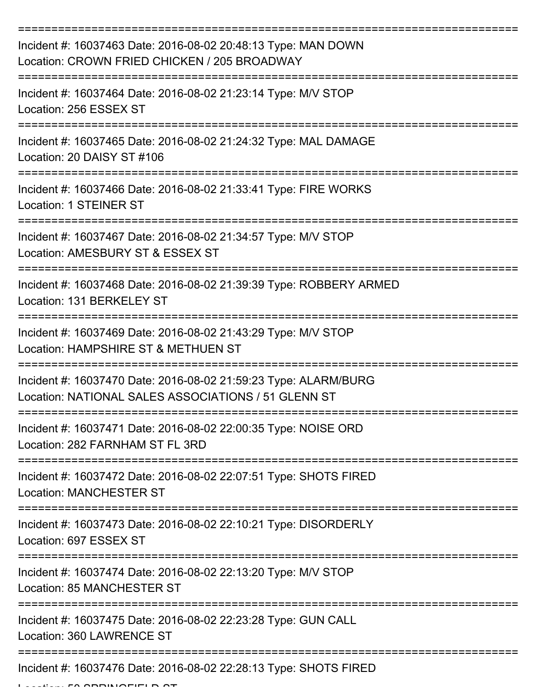| Incident #: 16037463 Date: 2016-08-02 20:48:13 Type: MAN DOWN<br>Location: CROWN FRIED CHICKEN / 205 BROADWAY          |
|------------------------------------------------------------------------------------------------------------------------|
| Incident #: 16037464 Date: 2016-08-02 21:23:14 Type: M/V STOP<br>Location: 256 ESSEX ST                                |
| Incident #: 16037465 Date: 2016-08-02 21:24:32 Type: MAL DAMAGE<br>Location: 20 DAISY ST #106                          |
| Incident #: 16037466 Date: 2016-08-02 21:33:41 Type: FIRE WORKS<br>Location: 1 STEINER ST                              |
| Incident #: 16037467 Date: 2016-08-02 21:34:57 Type: M/V STOP<br>Location: AMESBURY ST & ESSEX ST                      |
| Incident #: 16037468 Date: 2016-08-02 21:39:39 Type: ROBBERY ARMED<br>Location: 131 BERKELEY ST                        |
| Incident #: 16037469 Date: 2016-08-02 21:43:29 Type: M/V STOP<br>Location: HAMPSHIRE ST & METHUEN ST                   |
| Incident #: 16037470 Date: 2016-08-02 21:59:23 Type: ALARM/BURG<br>Location: NATIONAL SALES ASSOCIATIONS / 51 GLENN ST |
| Incident #: 16037471 Date: 2016-08-02 22:00:35 Type: NOISE ORD<br>Location: 282 FARNHAM ST FL 3RD                      |
| Incident #: 16037472 Date: 2016-08-02 22:07:51 Type: SHOTS FIRED<br><b>Location: MANCHESTER ST</b>                     |
| Incident #: 16037473 Date: 2016-08-02 22:10:21 Type: DISORDERLY<br>Location: 697 ESSEX ST                              |
| Incident #: 16037474 Date: 2016-08-02 22:13:20 Type: M/V STOP<br><b>Location: 85 MANCHESTER ST</b>                     |
| Incident #: 16037475 Date: 2016-08-02 22:23:28 Type: GUN CALL<br>Location: 360 LAWRENCE ST                             |
| Incident #: 16037476 Date: 2016-08-02 22:28:13 Type: SHOTS FIRED                                                       |